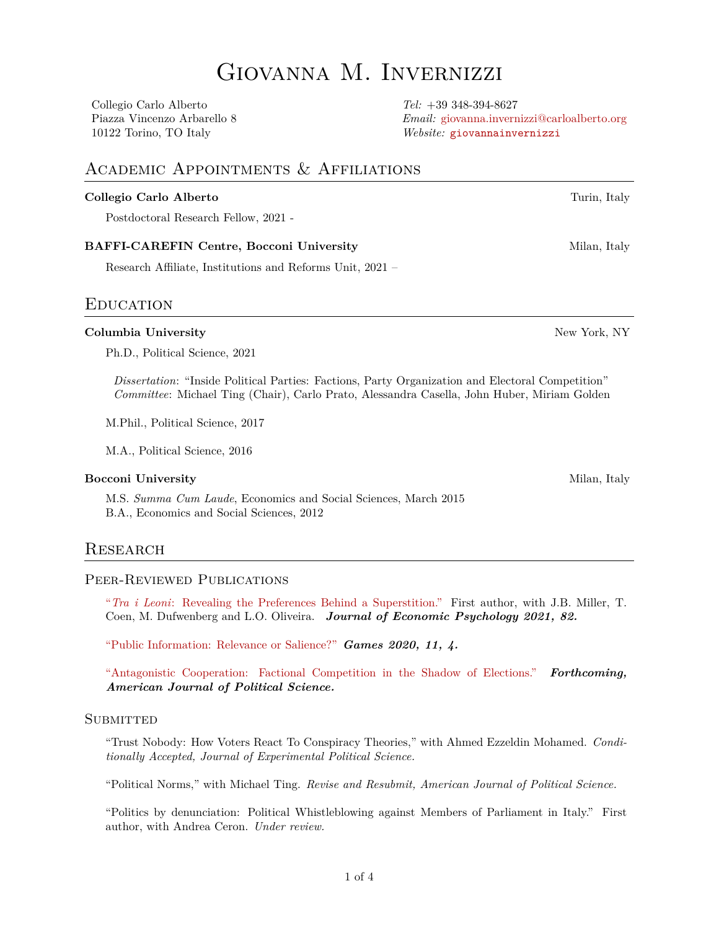# Giovanna M. Invernizzi

Collegio Carlo Alberto *Tel:* +39 348-394-8627

Piazza Vincenzo Arbarello 8 *Email:* [giovanna.invernizzi@carloalberto.org](mailto:giovanna.invernizzi@carloalberto.org) 10122 Torino, TO Italy *Website:* [giovannainvernizzi](https://www.giovannainvernizzi.com/)

## Academic Appointments & Affiliations

#### **Collegio Carlo Alberto** Turin, Italy

Postdoctoral Research Fellow, 2021 -

#### **BAFFI-CAREFIN Centre, Bocconi University** Milan, Italy

Research Affiliate, Institutions and Reforms Unit, 2021 –

## **EDUCATION**

#### **Columbia University** New York, NY

Ph.D., Political Science, 2021

*Dissertation*: "Inside Political Parties: Factions, Party Organization and Electoral Competition" *Committee*: Michael Ting (Chair), Carlo Prato, Alessandra Casella, John Huber, Miriam Golden

M.Phil., Political Science, 2017

M.A., Political Science, 2016

#### **Bocconi University** Milan, Italy

M.S. *Summa Cum Laude*, Economics and Social Sciences, March 2015 B.A., Economics and Social Sciences, 2012

## **RESEARCH**

#### Peer-Reviewed Publications

"*Tra i Leoni*[: Revealing the Preferences Behind a Superstition."](https://www.sciencedirect.com/science/article/pii/S0167487020300854) First author, with J.B. Miller, T. Coen, M. Dufwenberg and L.O. Oliveira. *Journal of Economic Psychology 2021, 82.*

["Public Information: Relevance or Salience?"](https://www.mdpi.com/2073-4336/11/1/4) *Games 2020, 11, 4.*

["Antagonistic Cooperation: Factional Competition in the Shadow of Elections."](https://papers.ssrn.com/sol3/papers.cfm?abstract_id=3329622) *Forthcoming, American Journal of Political Science.*

#### **SUBMITTED**

"Trust Nobody: How Voters React To Conspiracy Theories," with Ahmed Ezzeldin Mohamed. *Conditionally Accepted, Journal of Experimental Political Science.*

"Political Norms," with Michael Ting. *Revise and Resubmit, American Journal of Political Science.*

"Politics by denunciation: Political Whistleblowing against Members of Parliament in Italy." First author, with Andrea Ceron. *Under review.*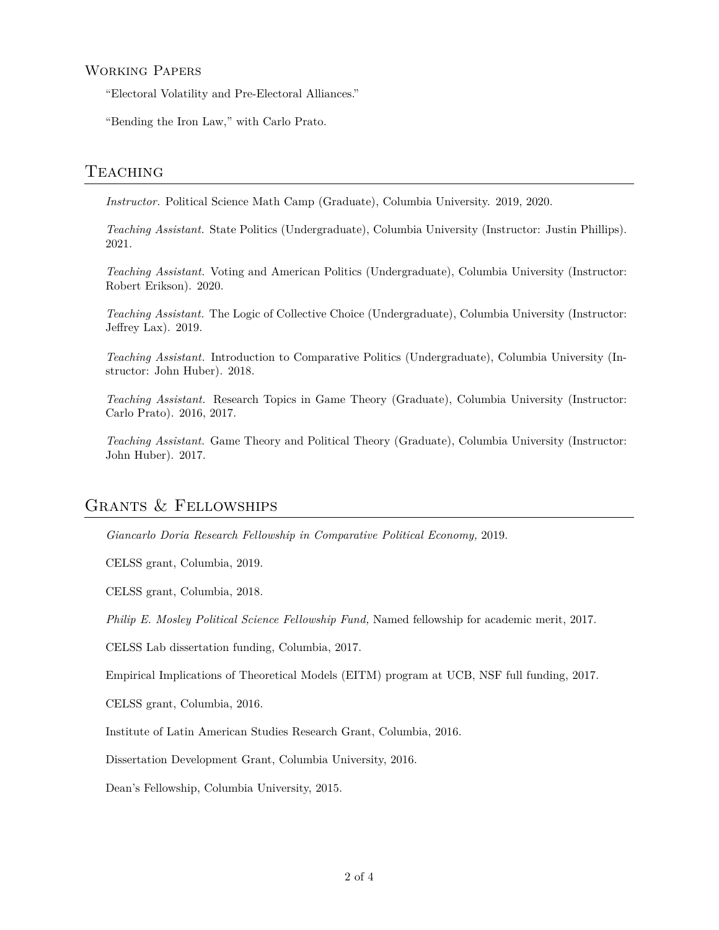#### Working Papers

"Electoral Volatility and Pre-Electoral Alliances."

"Bending the Iron Law," with Carlo Prato.

#### **TEACHING**

*Instructor.* Political Science Math Camp (Graduate), Columbia University. 2019, 2020.

*Teaching Assistant.* State Politics (Undergraduate), Columbia University (Instructor: Justin Phillips). 2021.

*Teaching Assistant.* Voting and American Politics (Undergraduate), Columbia University (Instructor: Robert Erikson). 2020.

*Teaching Assistant.* The Logic of Collective Choice (Undergraduate), Columbia University (Instructor: Jeffrey Lax). 2019.

*Teaching Assistant.* Introduction to Comparative Politics (Undergraduate), Columbia University (Instructor: John Huber). 2018.

*Teaching Assistant.* Research Topics in Game Theory (Graduate), Columbia University (Instructor: Carlo Prato). 2016, 2017.

*Teaching Assistant.* Game Theory and Political Theory (Graduate), Columbia University (Instructor: John Huber). 2017.

# Grants & Fellowships

*Giancarlo Doria Research Fellowship in Comparative Political Economy,* 2019.

CELSS grant, Columbia, 2019.

CELSS grant, Columbia, 2018.

*Philip E. Mosley Political Science Fellowship Fund,* Named fellowship for academic merit, 2017.

CELSS Lab dissertation funding, Columbia, 2017.

Empirical Implications of Theoretical Models (EITM) program at UCB, NSF full funding, 2017.

CELSS grant, Columbia, 2016.

Institute of Latin American Studies Research Grant, Columbia, 2016.

Dissertation Development Grant, Columbia University, 2016.

Dean's Fellowship, Columbia University, 2015.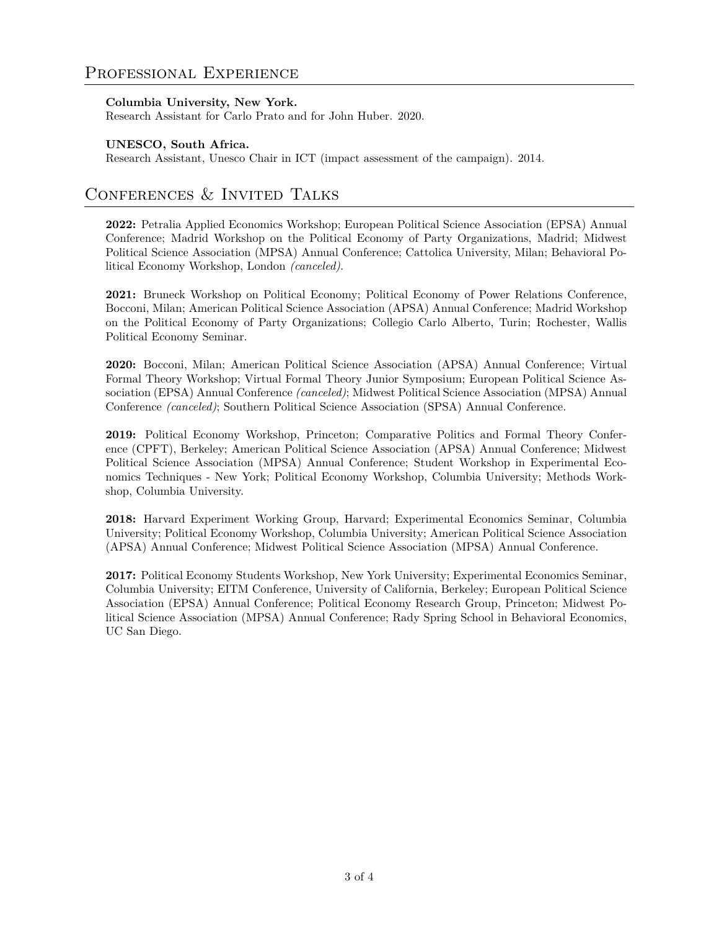#### **Columbia University, New York.**

Research Assistant for Carlo Prato and for John Huber. 2020.

#### **UNESCO, South Africa.**

Research Assistant, Unesco Chair in ICT (impact assessment of the campaign). 2014.

# CONFERENCES & INVITED TALKS

**2022:** Petralia Applied Economics Workshop; European Political Science Association (EPSA) Annual Conference; Madrid Workshop on the Political Economy of Party Organizations, Madrid; Midwest Political Science Association (MPSA) Annual Conference; Cattolica University, Milan; Behavioral Political Economy Workshop, London *(canceled)*.

**2021:** Bruneck Workshop on Political Economy; Political Economy of Power Relations Conference, Bocconi, Milan; American Political Science Association (APSA) Annual Conference; Madrid Workshop on the Political Economy of Party Organizations; Collegio Carlo Alberto, Turin; Rochester, Wallis Political Economy Seminar.

**2020:** Bocconi, Milan; American Political Science Association (APSA) Annual Conference; Virtual Formal Theory Workshop; Virtual Formal Theory Junior Symposium; European Political Science Association (EPSA) Annual Conference *(canceled)*; Midwest Political Science Association (MPSA) Annual Conference *(canceled)*; Southern Political Science Association (SPSA) Annual Conference.

**2019:** Political Economy Workshop, Princeton; Comparative Politics and Formal Theory Conference (CPFT), Berkeley; American Political Science Association (APSA) Annual Conference; Midwest Political Science Association (MPSA) Annual Conference; Student Workshop in Experimental Economics Techniques - New York; Political Economy Workshop, Columbia University; Methods Workshop, Columbia University.

**2018:** Harvard Experiment Working Group, Harvard; Experimental Economics Seminar, Columbia University; Political Economy Workshop, Columbia University; American Political Science Association (APSA) Annual Conference; Midwest Political Science Association (MPSA) Annual Conference.

**2017:** Political Economy Students Workshop, New York University; Experimental Economics Seminar, Columbia University; EITM Conference, University of California, Berkeley; European Political Science Association (EPSA) Annual Conference; Political Economy Research Group, Princeton; Midwest Political Science Association (MPSA) Annual Conference; Rady Spring School in Behavioral Economics, UC San Diego.